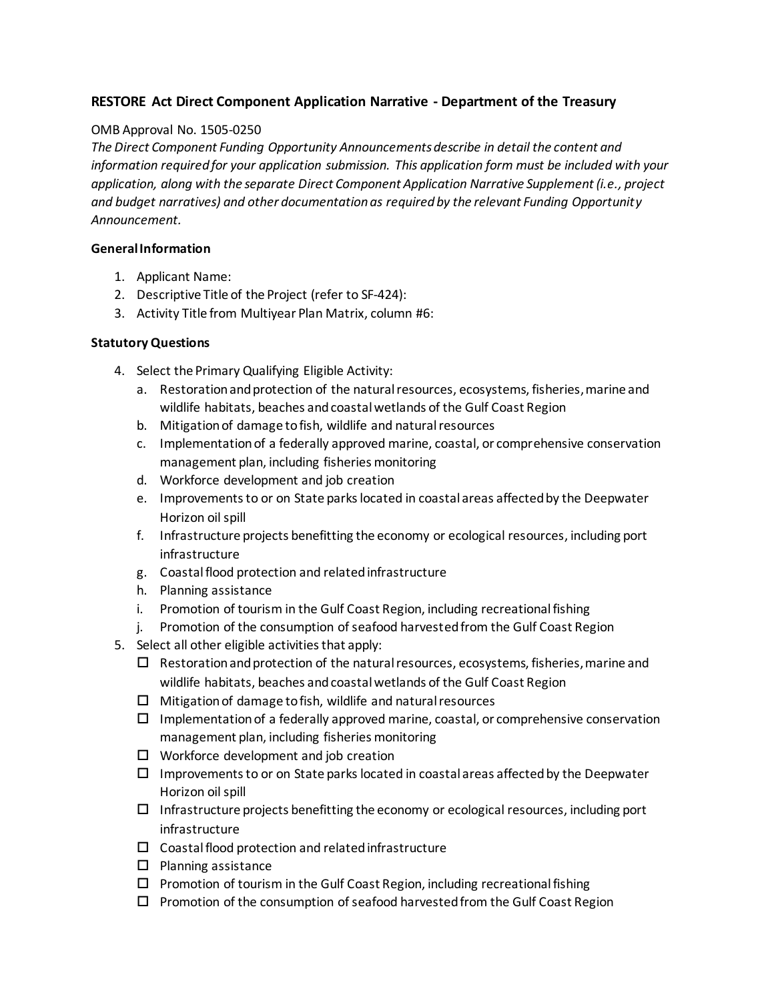# **RESTORE Act Direct Component Application Narrative - Department of the Treasury**

#### OMB Approval No. 1505-0250

*The Direct Component Funding Opportunity Announcements describe in detail the content and information required for your application submission. This application form must be included with your application, along with the separate Direct Component Application Narrative Supplement (i.e., project and budget narratives) and other documentation as required by the relevant Funding Opportunity Announcement.*

#### **General Information**

- 1. Applicant Name:
- 2. Descriptive Title of the Project (refer to SF-424):
- 3. Activity Title from Multiyear Plan Matrix, column #6:

### **Statutory Questions**

- 4. Select the Primary Qualifying Eligible Activity:
	- a. Restoration and protection of the natural resources, ecosystems, fisheries, marine and wildlife habitats, beaches and coastal wetlands of the Gulf Coast Region
	- b. Mitigation of damage to fish, wildlife and natural resources
	- c. Implementation of a federally approved marine, coastal, or comprehensive conservation management plan, including fisheries monitoring
	- d. Workforce development and job creation
	- e. Improvements to or on State parks located in coastal areas affected by the Deepwater Horizon oil spill
	- f. Infrastructure projects benefitting the economy or ecological resources, including port infrastructure
	- g. Coastal flood protection and related infrastructure
	- h. Planning assistance
	- i. Promotion of tourism in the Gulf Coast Region, including recreational fishing
	- j. Promotion of the consumption of seafood harvested from the Gulf Coast Region
- 5. Select all other eligible activities that apply:
	- $\square$  Restoration and protection of the natural resources, ecosystems, fisheries, marine and wildlife habitats, beaches and coastal wetlands of the Gulf Coast Region
	- $\Box$  Mitigation of damage to fish, wildlife and natural resources
	- $\Box$  Implementation of a federally approved marine, coastal, or comprehensive conservation management plan, including fisheries monitoring
	- $\Box$  Workforce development and job creation
	- $\Box$  Improvements to or on State parks located in coastal areas affected by the Deepwater Horizon oil spill
	- $\Box$  Infrastructure projects benefitting the economy or ecological resources, including port infrastructure
	- $\Box$  Coastal flood protection and related infrastructure
	- $\square$  Planning assistance
	- $\Box$  Promotion of tourism in the Gulf Coast Region, including recreational fishing
	- $\Box$  Promotion of the consumption of seafood harvested from the Gulf Coast Region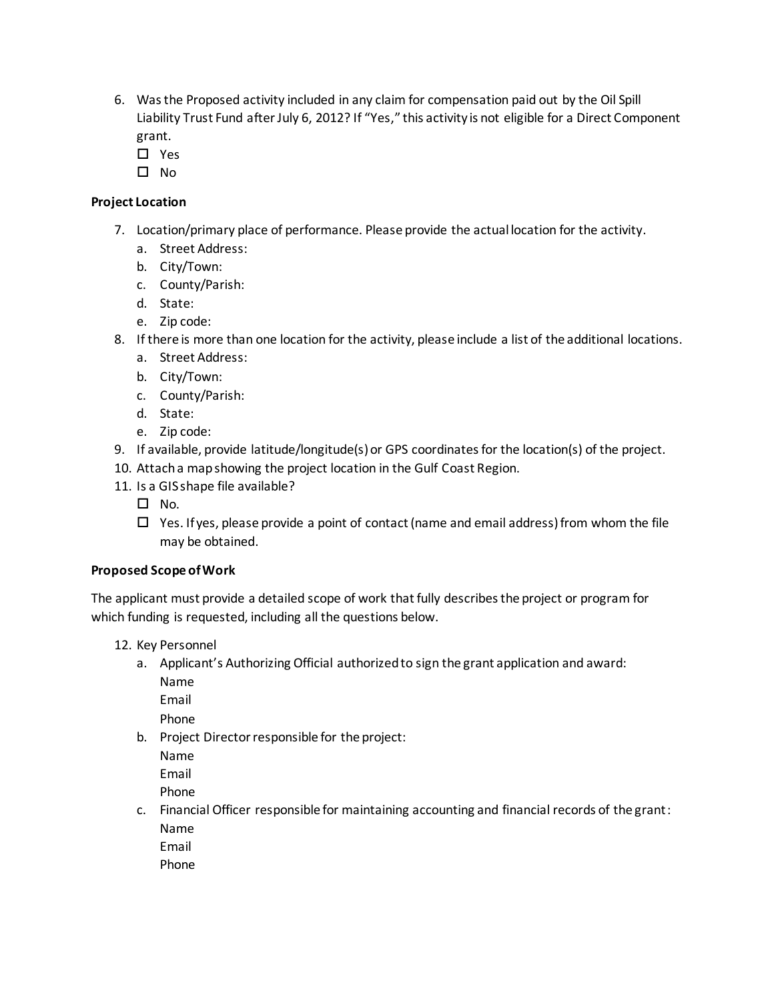- 6. Was the Proposed activity included in any claim for compensation paid out by the Oil Spill Liability Trust Fund after July 6, 2012? If "Yes," this activity is not eligible for a Direct Component grant.
	- □ Yes
	- $\square$  No

# **Project Location**

- 7. Location/primary place of performance. Please provide the actual location for the activity.
	- a. Street Address:
	- b. City/Town:
	- c. County/Parish:
	- d. State:
	- e. Zip code:
- 8. If there is more than one location for the activity, please include a list of the additional locations.
	- a. Street Address:
	- b. City/Town:
	- c. County/Parish:
	- d. State:
	- e. Zip code:
- 9. If available, provide latitude/longitude(s) or GPS coordinates for the location(s) of the project.
- 10. Attach a map showing the project location in the Gulf Coast Region.
- 11. Is a GIS shape file available?
	- $\square$  No.
	- $\Box$  Yes. If yes, please provide a point of contact (name and email address) from whom the file may be obtained.

## **Proposed Scope of Work**

The applicant must provide a detailed scope of work that fully describes the project or program for which funding is requested, including all the questions below.

- 12. Key Personnel
	- a. Applicant's Authorizing Official authorized to sign the grant application and award:

Name

Email

Phone

b. Project Director responsible for the project:

Name

Email

Phone

c. Financial Officer responsible for maintaining accounting and financial records of the grant: Name

Email

Phone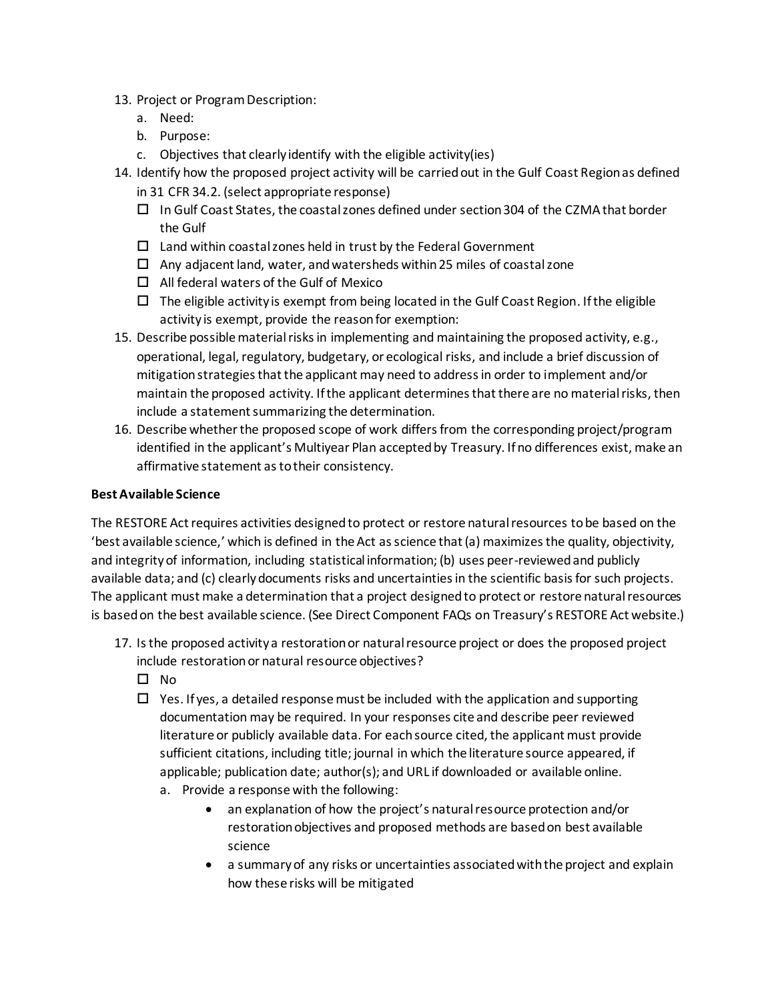- 13. Project or Program Description:
	- a. Need:
	- b. Purpose:
	- c. Objectives that clearly identify with the eligible activity(ies)
- 14. Identify how the proposed project activity will be carried out in the Gulf Coast Region as defined in 31 CFR 34.2. (select appropriate response)
	- $\Box$  In Gulf Coast States, the coastal zones defined under section 304 of the CZMA that border the Gulf
	- $\square$  Land within coastal zones held in trust by the Federal Government
	- $\Box$  Any adjacent land, water, and watersheds within 25 miles of coastal zone
	- $\Box$  All federal waters of the Gulf of Mexico
	- $\Box$  The eligible activity is exempt from being located in the Gulf Coast Region. If the eligible activity is exempt, provide the reason for exemption:
- 15. Describe possible material risks in implementing and maintaining the proposed activity, e.g., operational, legal, regulatory, budgetary, or ecological risks, and include a brief discussion of mitigation strategies that the applicant may need to address in order to implement and/or maintain the proposed activity. If the applicant determines that there are no material risks, then include a statement summarizing the determination.
- 16. Describe whether the proposed scope of work differs from the corresponding project/program identified in the applicant's Multiyear Plan accepted by Treasury. If no differences exist, make an affirmative statement as to their consistency.

#### **Best Available Science**

The RESTORE Act requires activities designed to protect or restore natural resources to be based on the 'best available science,' which is defined in the Act as science that (a) maximizes the quality, objectivity, and integrity of information, including statistical information; (b) uses peer-reviewed and publicly available data; and (c) clearly documents risks and uncertainties in the scientific basis for such projects. The applicant must make a determination that a project designed to protect or restore natural resources is based on the best available science. (See Direct Component FAQs on Treasury's RESTORE Act website.)

- 17. Is the proposed activity a restoration or natural resource project or does the proposed project include restoration or natural resource objectives?
	- $\square$  No
	- $\Box$  Yes. If yes, a detailed response must be included with the application and supporting documentation may be required. In your responses cite and describe peer reviewed literature or publicly available data. For each source cited, the applicant must provide sufficient citations, including title; journal in which the literature source appeared, if applicable; publication date; author(s); and URL if downloaded or available online. a. Provide a response with the following:
		- an explanation of how the project's natural resource protection and/or restoration objectives and proposed methods are based on best available science
		- a summary of any risks or uncertainties associated with the project and explain how these risks will be mitigated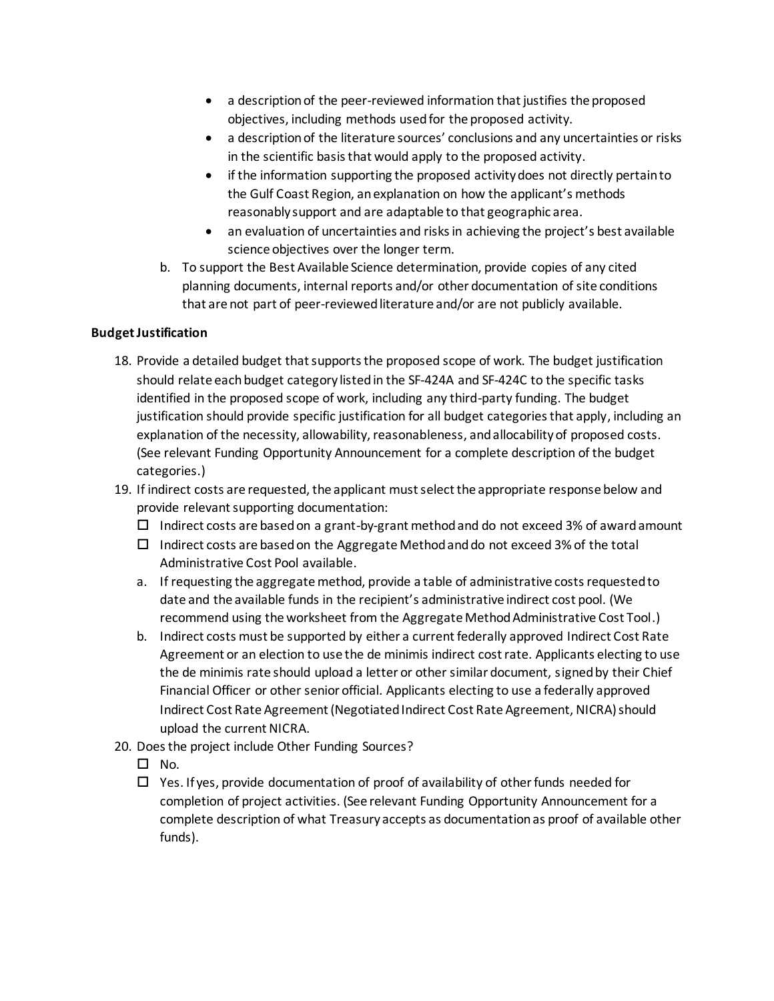- a description of the peer-reviewed information that justifies the proposed objectives, including methods used for the proposed activity.
- a description of the literature sources' conclusions and any uncertainties or risks in the scientific basis that would apply to the proposed activity.
- if the information supporting the proposed activity does not directly pertain to the Gulf Coast Region, an explanation on how the applicant's methods reasonably support and are adaptable to that geographic area.
- an evaluation of uncertainties and risks in achieving the project's best available science objectives over the longer term.
- b. To support the Best Available Science determination, provide copies of any cited planning documents, internal reports and/or other documentation of site conditions that are not part of peer-reviewed literature and/or are not publicly available.

## **Budget Justification**

- 18. Provide a detailed budget that supports the proposed scope of work. The budget justification should relate each budget category listed in the SF‐424A and SF‐424C to the specific tasks identified in the proposed scope of work, including any third-party funding. The budget justification should provide specific justification for all budget categories that apply, including an explanation of the necessity, allowability, reasonableness, and allocability of proposed costs. (See relevant Funding Opportunity Announcement for a complete description of the budget categories.)
- 19. If indirect costs are requested, the applicant must select the appropriate response below and provide relevant supporting documentation:
	- $\Box$  Indirect costs are based on a grant-by-grant method and do not exceed 3% of award amount
	- $\Box$  Indirect costs are based on the Aggregate Method and do not exceed 3% of the total Administrative Cost Pool available.
	- a. If requesting the aggregate method, provide a table of administrative costs requested to date and the available funds in the recipient's administrative indirect cost pool. (We recommend using the worksheet from the Aggregate Method Administrative Cost Tool.)
	- b. Indirect costs must be supported by either a current federally approved Indirect Cost Rate Agreement or an election to use the de minimis indirect cost rate. Applicants electing to use the de minimis rate should upload a letter or other similar document, signed by their Chief Financial Officer or other senior official. Applicants electing to use a federally approved Indirect Cost Rate Agreement (Negotiated Indirect Cost Rate Agreement, NICRA) should upload the current NICRA.
- 20. Does the project include Other Funding Sources?
	- $\Box$  No.
	- $\Box$  Yes. If yes, provide documentation of proof of availability of other funds needed for completion of project activities. (See relevant Funding Opportunity Announcement for a complete description of what Treasury accepts as documentation as proof of available other funds).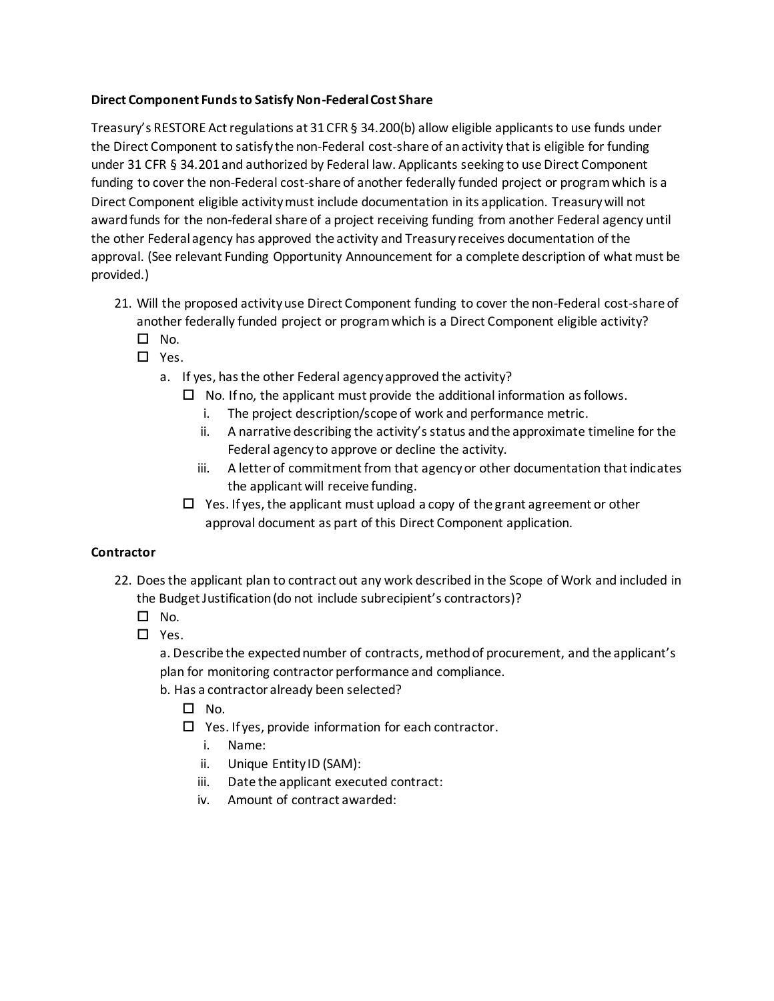# **Direct Component Funds to Satisfy Non-Federal Cost Share**

Treasury's RESTORE Act regulations at 31 CFR § 34.200(b) allow eligible applicants to use funds under the Direct Component to satisfy the non-Federal cost-share of an activity that is eligible for funding under 31 CFR § 34.201 and authorized by Federal law. Applicants seeking to use Direct Component funding to cover the non-Federal cost-share of another federally funded project or program which is a Direct Component eligible activity must include documentation in its application. Treasury will not award funds for the non-federal share of a project receiving funding from another Federal agency until the other Federal agency has approved the activity and Treasury receives documentation of the approval. (See relevant Funding Opportunity Announcement for a complete description of what must be provided.)

- 21. Will the proposed activity use Direct Component funding to cover the non-Federal cost-share of another federally funded project or program which is a Direct Component eligible activity?
	- $\square$  No.
	- $\Box$  Yes.
		- a. If yes, has the other Federal agency approved the activity?
			- $\Box$  No. If no, the applicant must provide the additional information as follows.
				- i. The project description/scope of work and performance metric.
				- ii. A narrative describing the activity's status and the approximate timeline for the Federal agency to approve or decline the activity.
				- iii. A letter of commitment from that agency or other documentation that indicates the applicant will receive funding.
			- $\Box$  Yes. If yes, the applicant must upload a copy of the grant agreement or other approval document as part of this Direct Component application.

## **Contractor**

- 22. Does the applicant plan to contract out any work described in the Scope of Work and included in the Budget Justification (do not include subrecipient's contractors)?
	- $\square$  No.
	- □ Yes.

a. Describe the expected number of contracts, method of procurement, and the applicant's plan for monitoring contractor performance and compliance.

- b. Has a contractor already been selected?
	- $\square$  No.
	- $\Box$  Yes. If yes, provide information for each contractor.
		- i. Name:
		- ii. Unique Entity ID (SAM):
		- iii. Date the applicant executed contract:
		- iv. Amount of contract awarded: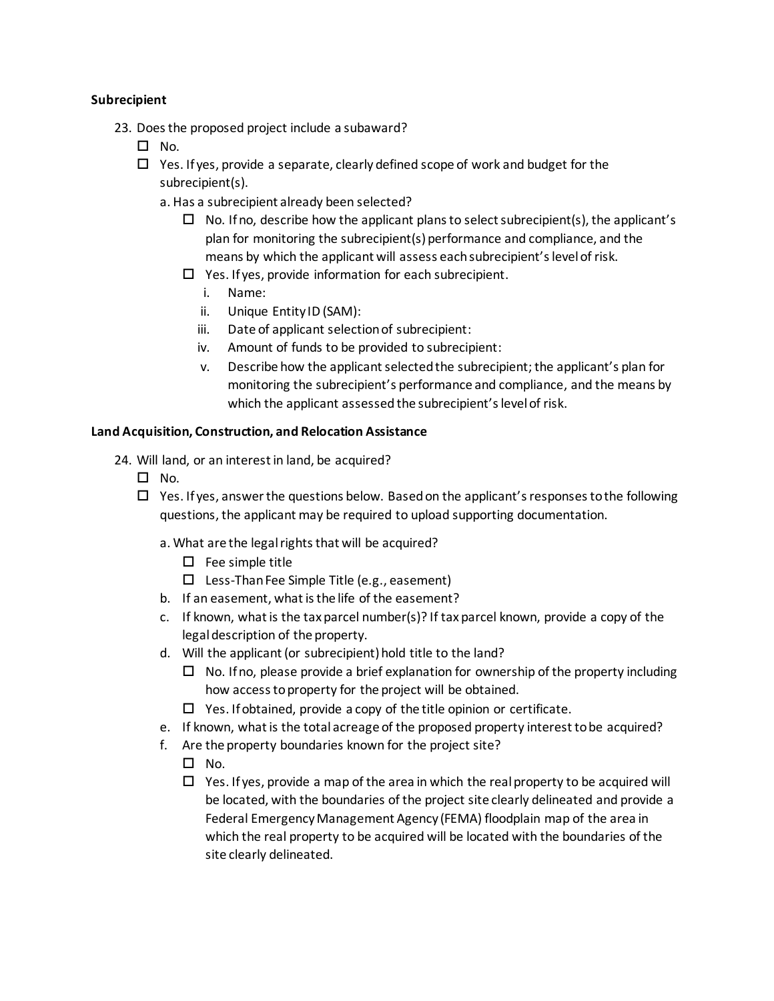### **Subrecipient**

- 23. Does the proposed project include a subaward?
	- $\square$  No.
	- $\Box$  Yes. If yes, provide a separate, clearly defined scope of work and budget for the subrecipient(s).
		- a. Has a subrecipient already been selected?
			- $\Box$  No. If no, describe how the applicant plans to select subrecipient(s), the applicant's plan for monitoring the subrecipient(s) performance and compliance, and the means by which the applicant will assess each subrecipient's level of risk.
			- $\Box$  Yes. If yes, provide information for each subrecipient.
				- i. Name:
				- ii. Unique Entity ID (SAM):
				- iii. Date of applicant selection of subrecipient:
				- iv. Amount of funds to be provided to subrecipient:
				- v. Describe how the applicant selected the subrecipient; the applicant's plan for monitoring the subrecipient's performance and compliance, and the means by which the applicant assessed the subrecipient's level of risk.

#### **Land Acquisition, Construction, and Relocation Assistance**

- 24. Will land, or an interest in land, be acquired?
	- $\square$  No.
	- $\Box$  Yes. If yes, answer the questions below. Based on the applicant's responses to the following questions, the applicant may be required to upload supporting documentation.
		- a. What are the legal rights that will be acquired?
			- $\Box$  Fee simple title
			- $\square$  Less-Than Fee Simple Title (e.g., easement)
		- b. If an easement, what is the life of the easement?
		- c. If known, what is the tax parcel number(s)? If tax parcel known, provide a copy of the legal description of the property.
		- d. Will the applicant (or subrecipient) hold title to the land?
			- $\Box$  No. If no, please provide a brief explanation for ownership of the property including how access to property for the project will be obtained.
			- $\Box$  Yes. If obtained, provide a copy of the title opinion or certificate.
		- e. If known, what is the total acreage of the proposed property interest to be acquired?
		- f. Are the property boundaries known for the project site?
			- $\square$  No.
			- $\Box$  Yes. If yes, provide a map of the area in which the real property to be acquired will be located, with the boundaries of the project site clearly delineated and provide a Federal Emergency Management Agency (FEMA) floodplain map of the area in which the real property to be acquired will be located with the boundaries of the site clearly delineated.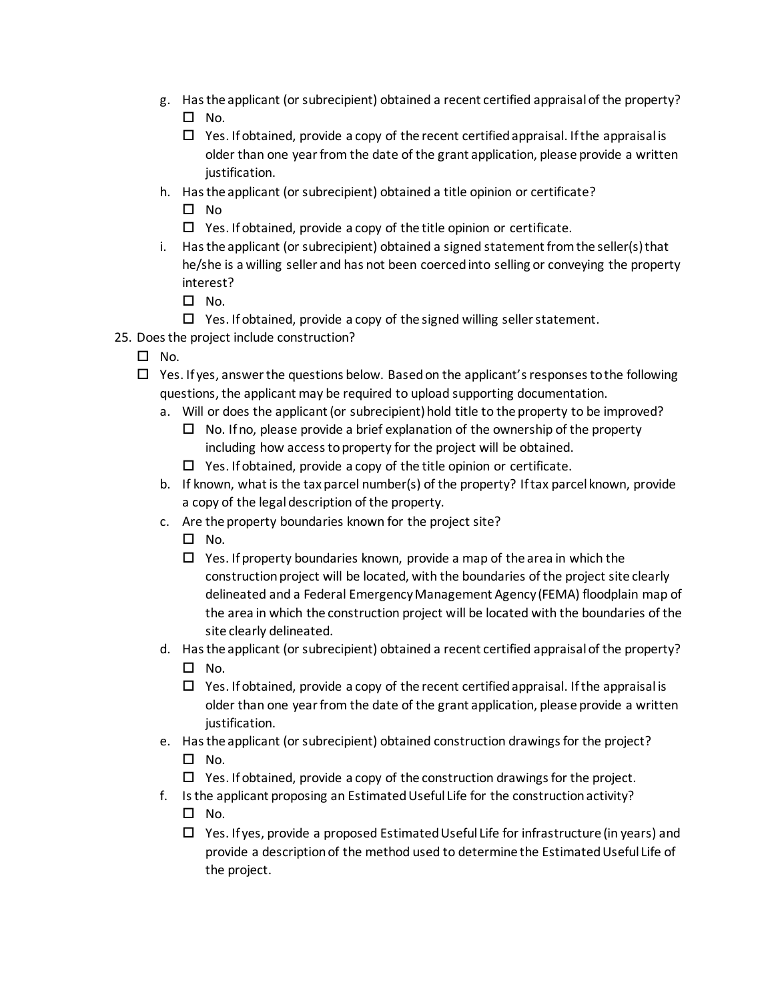- g. Has the applicant (or subrecipient) obtained a recent certified appraisal of the property?  $\square$  No.
	- $\Box$  Yes. If obtained, provide a copy of the recent certified appraisal. If the appraisal is older than one year from the date of the grant application, please provide a written justification.
- h. Has the applicant (or subrecipient) obtained a title opinion or certificate?
	- $\square$  No
	- $\Box$  Yes. If obtained, provide a copy of the title opinion or certificate.
- i. Has the applicant (or subrecipient) obtained a signed statement from the seller(s) that he/she is a willing seller and has not been coerced into selling or conveying the property interest?
	- $\square$  No.
	- $\Box$  Yes. If obtained, provide a copy of the signed willing seller statement.
- 25. Does the project include construction?
	- $\square$  No.
	- $\Box$  Yes. If yes, answer the questions below. Based on the applicant's responses to the following questions, the applicant may be required to upload supporting documentation.
		- a. Will or does the applicant (or subrecipient) hold title to the property to be improved?
			- $\Box$  No. If no, please provide a brief explanation of the ownership of the property including how access to property for the project will be obtained.
			- $\Box$  Yes. If obtained, provide a copy of the title opinion or certificate.
		- b. If known, what is the tax parcel number(s) of the property? If tax parcel known, provide a copy of the legal description of the property.
		- c. Are the property boundaries known for the project site?
			- $\square$  No.
			- $\Box$  Yes. If property boundaries known, provide a map of the area in which the construction project will be located, with the boundaries of the project site clearly delineated and a Federal Emergency Management Agency (FEMA) floodplain map of the area in which the construction project will be located with the boundaries of the site clearly delineated.
		- d. Has the applicant (or subrecipient) obtained a recent certified appraisal of the property?
			- $\square$  No.
			- $\Box$  Yes. If obtained, provide a copy of the recent certified appraisal. If the appraisal is older than one year from the date of the grant application, please provide a written justification.
		- e. Has the applicant (or subrecipient) obtained construction drawings for the project?  $\square$  No.
			- $\Box$  Yes. If obtained, provide a copy of the construction drawings for the project.
		- f. Is the applicant proposing an Estimated Useful Life for the construction activity?  $\square$  No.
			- $\Box$  Yes. If yes, provide a proposed Estimated Useful Life for infrastructure (in years) and provide a description of the method used to determine the Estimated Useful Life of the project.